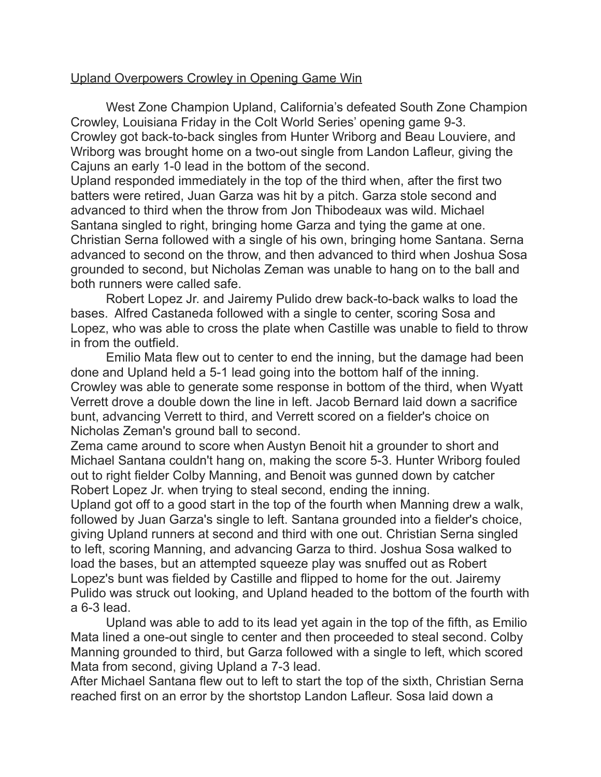## Upland Overpowers Crowley in Opening Game Win

West Zone Champion Upland, California's defeated South Zone Champion Crowley, Louisiana Friday in the Colt World Series' opening game 9-3. Crowley got back-to-back singles from Hunter Wriborg and Beau Louviere, and Wriborg was brought home on a two-out single from Landon Lafleur, giving the Cajuns an early 1-0 lead in the bottom of the second.

Upland responded immediately in the top of the third when, after the first two batters were retired, Juan Garza was hit by a pitch. Garza stole second and advanced to third when the throw from Jon Thibodeaux was wild. Michael Santana singled to right, bringing home Garza and tying the game at one. Christian Serna followed with a single of his own, bringing home Santana. Serna advanced to second on the throw, and then advanced to third when Joshua Sosa grounded to second, but Nicholas Zeman was unable to hang on to the ball and both runners were called safe.

Robert Lopez Jr. and Jairemy Pulido drew back-to-back walks to load the bases. Alfred Castaneda followed with a single to center, scoring Sosa and Lopez, who was able to cross the plate when Castille was unable to field to throw in from the outfield.

Emilio Mata flew out to center to end the inning, but the damage had been done and Upland held a 5-1 lead going into the bottom half of the inning. Crowley was able to generate some response in bottom of the third, when Wyatt Verrett drove a double down the line in left. Jacob Bernard laid down a sacrifice bunt, advancing Verrett to third, and Verrett scored on a fielder's choice on Nicholas Zeman's ground ball to second.

Zema came around to score when Austyn Benoit hit a grounder to short and Michael Santana couldn't hang on, making the score 5-3. Hunter Wriborg fouled out to right fielder Colby Manning, and Benoit was gunned down by catcher Robert Lopez Jr. when trying to steal second, ending the inning.

Upland got off to a good start in the top of the fourth when Manning drew a walk, followed by Juan Garza's single to left. Santana grounded into a fielder's choice, giving Upland runners at second and third with one out. Christian Serna singled to left, scoring Manning, and advancing Garza to third. Joshua Sosa walked to load the bases, but an attempted squeeze play was snuffed out as Robert Lopez's bunt was fielded by Castille and flipped to home for the out. Jairemy Pulido was struck out looking, and Upland headed to the bottom of the fourth with a 6-3 lead.

Upland was able to add to its lead yet again in the top of the fifth, as Emilio Mata lined a one-out single to center and then proceeded to steal second. Colby Manning grounded to third, but Garza followed with a single to left, which scored Mata from second, giving Upland a 7-3 lead.

After Michael Santana flew out to left to start the top of the sixth, Christian Serna reached first on an error by the shortstop Landon Lafleur. Sosa laid down a